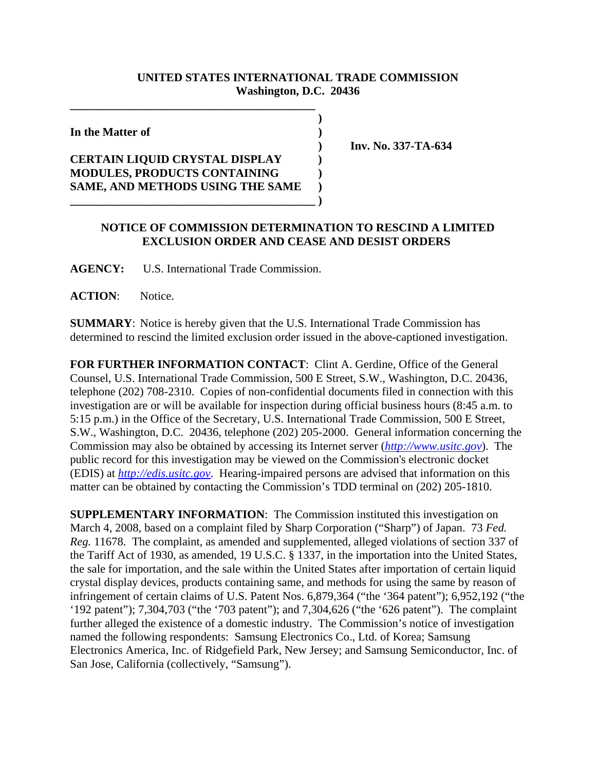## **UNITED STATES INTERNATIONAL TRADE COMMISSION Washington, D.C. 20436**

 **)**

**In the Matter of )**

## **CERTAIN LIQUID CRYSTAL DISPLAY ) MODULES, PRODUCTS CONTAINING ) SAME, AND METHODS USING THE SAME ) \_\_\_\_\_\_\_\_\_\_\_\_\_\_\_\_\_\_\_\_\_\_\_\_\_\_\_\_\_\_\_\_\_\_\_\_\_\_\_\_\_\_ )**

**\_\_\_\_\_\_\_\_\_\_\_\_\_\_\_\_\_\_\_\_\_\_\_\_\_\_\_\_\_\_\_\_\_\_\_\_\_\_\_\_\_\_**

 **) Inv. No. 337-TA-634**

## **NOTICE OF COMMISSION DETERMINATION TO RESCIND A LIMITED EXCLUSION ORDER AND CEASE AND DESIST ORDERS**

**AGENCY:** U.S. International Trade Commission.

**ACTION**: Notice.

**SUMMARY**: Notice is hereby given that the U.S. International Trade Commission has determined to rescind the limited exclusion order issued in the above-captioned investigation.

FOR FURTHER INFORMATION CONTACT: Clint A. Gerdine, Office of the General Counsel, U.S. International Trade Commission, 500 E Street, S.W., Washington, D.C. 20436, telephone (202) 708-2310. Copies of non-confidential documents filed in connection with this investigation are or will be available for inspection during official business hours (8:45 a.m. to 5:15 p.m.) in the Office of the Secretary, U.S. International Trade Commission, 500 E Street, S.W., Washington, D.C. 20436, telephone (202) 205-2000. General information concerning the Commission may also be obtained by accessing its Internet server (*http://www.usitc.gov*). The public record for this investigation may be viewed on the Commission's electronic docket (EDIS) at *http://edis.usitc.gov*. Hearing-impaired persons are advised that information on this matter can be obtained by contacting the Commission's TDD terminal on (202) 205-1810.

**SUPPLEMENTARY INFORMATION:** The Commission instituted this investigation on March 4, 2008, based on a complaint filed by Sharp Corporation ("Sharp") of Japan. 73 *Fed. Reg.* 11678. The complaint, as amended and supplemented, alleged violations of section 337 of the Tariff Act of 1930, as amended, 19 U.S.C. § 1337, in the importation into the United States, the sale for importation, and the sale within the United States after importation of certain liquid crystal display devices, products containing same, and methods for using the same by reason of infringement of certain claims of U.S. Patent Nos. 6,879,364 ("the '364 patent"); 6,952,192 ("the '192 patent"); 7,304,703 ("the '703 patent"); and 7,304,626 ("the '626 patent"). The complaint further alleged the existence of a domestic industry. The Commission's notice of investigation named the following respondents: Samsung Electronics Co., Ltd. of Korea; Samsung Electronics America, Inc. of Ridgefield Park, New Jersey; and Samsung Semiconductor, Inc. of San Jose, California (collectively, "Samsung").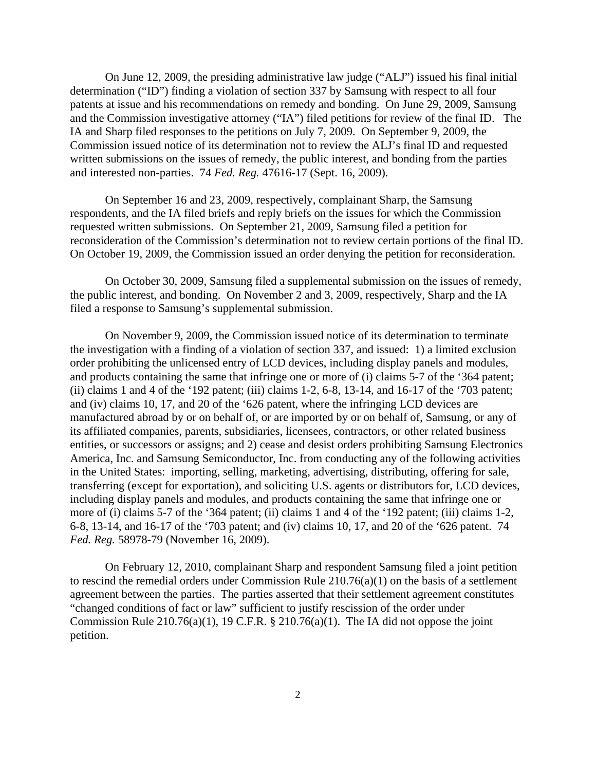On June 12, 2009, the presiding administrative law judge ("ALJ") issued his final initial determination ("ID") finding a violation of section 337 by Samsung with respect to all four patents at issue and his recommendations on remedy and bonding. On June 29, 2009, Samsung and the Commission investigative attorney ("IA") filed petitions for review of the final ID. The IA and Sharp filed responses to the petitions on July 7, 2009. On September 9, 2009, the Commission issued notice of its determination not to review the ALJ's final ID and requested written submissions on the issues of remedy, the public interest, and bonding from the parties and interested non-parties. 74 *Fed. Reg.* 47616-17 (Sept. 16, 2009).

On September 16 and 23, 2009, respectively, complainant Sharp, the Samsung respondents, and the IA filed briefs and reply briefs on the issues for which the Commission requested written submissions. On September 21, 2009, Samsung filed a petition for reconsideration of the Commission's determination not to review certain portions of the final ID. On October 19, 2009, the Commission issued an order denying the petition for reconsideration.

On October 30, 2009, Samsung filed a supplemental submission on the issues of remedy, the public interest, and bonding. On November 2 and 3, 2009, respectively, Sharp and the IA filed a response to Samsung's supplemental submission.

On November 9, 2009, the Commission issued notice of its determination to terminate the investigation with a finding of a violation of section 337, and issued: 1) a limited exclusion order prohibiting the unlicensed entry of LCD devices, including display panels and modules, and products containing the same that infringe one or more of (i) claims 5-7 of the '364 patent; (ii) claims 1 and 4 of the '192 patent; (iii) claims 1-2, 6-8, 13-14, and 16-17 of the '703 patent; and (iv) claims 10, 17, and 20 of the '626 patent, where the infringing LCD devices are manufactured abroad by or on behalf of, or are imported by or on behalf of, Samsung, or any of its affiliated companies, parents, subsidiaries, licensees, contractors, or other related business entities, or successors or assigns; and 2) cease and desist orders prohibiting Samsung Electronics America, Inc. and Samsung Semiconductor, Inc. from conducting any of the following activities in the United States: importing, selling, marketing, advertising, distributing, offering for sale, transferring (except for exportation), and soliciting U.S. agents or distributors for, LCD devices, including display panels and modules, and products containing the same that infringe one or more of (i) claims 5-7 of the '364 patent; (ii) claims 1 and 4 of the '192 patent; (iii) claims 1-2, 6-8, 13-14, and 16-17 of the '703 patent; and (iv) claims 10, 17, and 20 of the '626 patent. 74 *Fed. Reg.* 58978-79 (November 16, 2009).

On February 12, 2010, complainant Sharp and respondent Samsung filed a joint petition to rescind the remedial orders under Commission Rule 210.76(a)(1) on the basis of a settlement agreement between the parties. The parties asserted that their settlement agreement constitutes "changed conditions of fact or law" sufficient to justify rescission of the order under Commission Rule 210.76(a)(1), 19 C.F.R.  $\S$  210.76(a)(1). The IA did not oppose the joint petition.